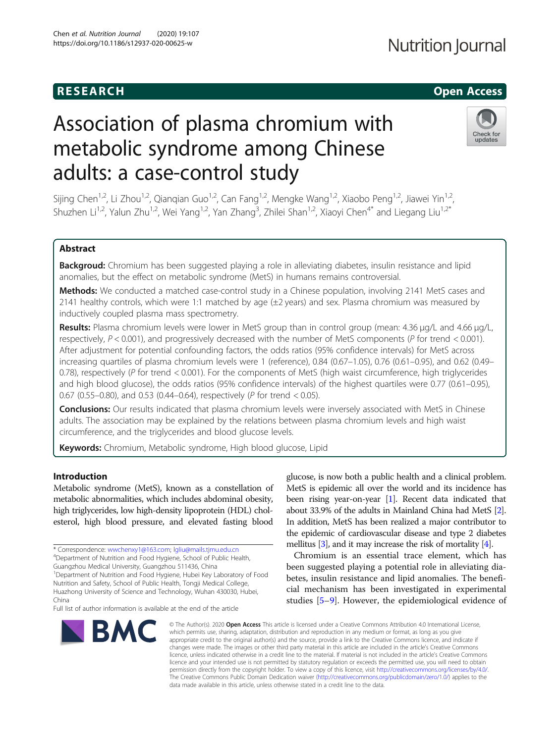# Association of plasma chromium with metabolic syndrome among Chinese adults: a case-control study

Sijing Chen<sup>1,2</sup>, Li Zhou<sup>1,2</sup>, Qianqian Guo<sup>1,2</sup>, Can Fang<sup>1,2</sup>, Mengke Wang<sup>1,2</sup>, Xiaobo Peng<sup>1,2</sup>, Jiawei Yin<sup>1,2</sup>, Shuzhen Li<sup>1,2</sup>, Yalun Zhu<sup>1,2</sup>, Wei Yang<sup>1,2</sup>, Yan Zhang<sup>3</sup>, Zhilei Shan<sup>1,2</sup>, Xiaoyi Chen<sup>4\*</sup> and Liegang Liu<sup>1,2\*</sup>

#### Abstract

Backgroud: Chromium has been suggested playing a role in alleviating diabetes, insulin resistance and lipid anomalies, but the effect on metabolic syndrome (MetS) in humans remains controversial.

Methods: We conducted a matched case-control study in a Chinese population, involving 2141 MetS cases and 2141 healthy controls, which were 1:1 matched by age (±2 years) and sex. Plasma chromium was measured by inductively coupled plasma mass spectrometry.

Results: Plasma chromium levels were lower in MetS group than in control group (mean: 4.36 μg/L and 4.66 μg/L, respectively,  $P < 0.001$ ), and progressively decreased with the number of MetS components (P for trend  $< 0.001$ ). After adjustment for potential confounding factors, the odds ratios (95% confidence intervals) for MetS across increasing quartiles of plasma chromium levels were 1 (reference), 0.84 (0.67–1.05), 0.76 (0.61–0.95), and 0.62 (0.49– 0.78), respectively (P for trend < 0.001). For the components of MetS (high waist circumference, high triglycerides and high blood glucose), the odds ratios (95% confidence intervals) of the highest quartiles were 0.77 (0.61–0.95), 0.67 (0.55–0.80), and 0.53 (0.44–0.64), respectively (P for trend < 0.05).

Conclusions: Our results indicated that plasma chromium levels were inversely associated with MetS in Chinese adults. The association may be explained by the relations between plasma chromium levels and high waist circumference, and the triglycerides and blood glucose levels.

**Keywords:** Chromium, Metabolic syndrome, High blood glucose, Lipid

#### Introduction

Metabolic syndrome (MetS), known as a constellation of metabolic abnormalities, which includes abdominal obesity, high triglycerides, low high-density lipoprotein (HDL) cholesterol, high blood pressure, and elevated fasting blood

\* Correspondence: [wwchenxy1@163.com](mailto:wwchenxy1@163.com); [lgliu@mails.tjmu.edu.cn](mailto:lgliu@mails.tjmu.edu.cn) <sup>4</sup>

Department of Nutrition and Food Hygiene, School of Public Health,

Guangzhou Medical University, Guangzhou 511436, China

<sup>1</sup>Department of Nutrition and Food Hygiene, Hubei Key Laboratory of Food Nutrition and Safety, School of Public Health, Tongji Medical College, Huazhong University of Science and Technology, Wuhan 430030, Hubei,

China

Full list of author information is available at the end of the article

### glucose, is now both a public health and a clinical problem. MetS is epidemic all over the world and its incidence has been rising year-on-year [\[1\]](#page-7-0). Recent data indicated that about 33.9% of the adults in Mainland China had MetS [[2](#page-7-0)]. In addition, MetS has been realized a major contributor to the epidemic of cardiovascular disease and type 2 diabetes mellitus [\[3](#page-7-0)], and it may increase the risk of mortality [\[4\]](#page-7-0).

Chromium is an essential trace element, which has been suggested playing a potential role in alleviating diabetes, insulin resistance and lipid anomalies. The beneficial mechanism has been investigated in experimental studies [[5](#page-7-0)–[9\]](#page-7-0). However, the epidemiological evidence of

© The Author(s), 2020 **Open Access** This article is licensed under a Creative Commons Attribution 4.0 International License, which permits use, sharing, adaptation, distribution and reproduction in any medium or format, as long as you give appropriate credit to the original author(s) and the source, provide a link to the Creative Commons licence, and indicate if changes were made. The images or other third party material in this article are included in the article's Creative Commons licence, unless indicated otherwise in a credit line to the material. If material is not included in the article's Creative Commons licence and your intended use is not permitted by statutory regulation or exceeds the permitted use, you will need to obtain permission directly from the copyright holder. To view a copy of this licence, visit [http://creativecommons.org/licenses/by/4.0/.](http://creativecommons.org/licenses/by/4.0/) The Creative Commons Public Domain Dedication waiver [\(http://creativecommons.org/publicdomain/zero/1.0/](http://creativecommons.org/publicdomain/zero/1.0/)) applies to the data made available in this article, unless otherwise stated in a credit line to the data.





## **RESEARCH CHILD CONTROL** CONTROL CONTROL CONTROL CONTROL CONTROL CONTROL CONTROL CONTROL CONTROL CONTROL CONTROL

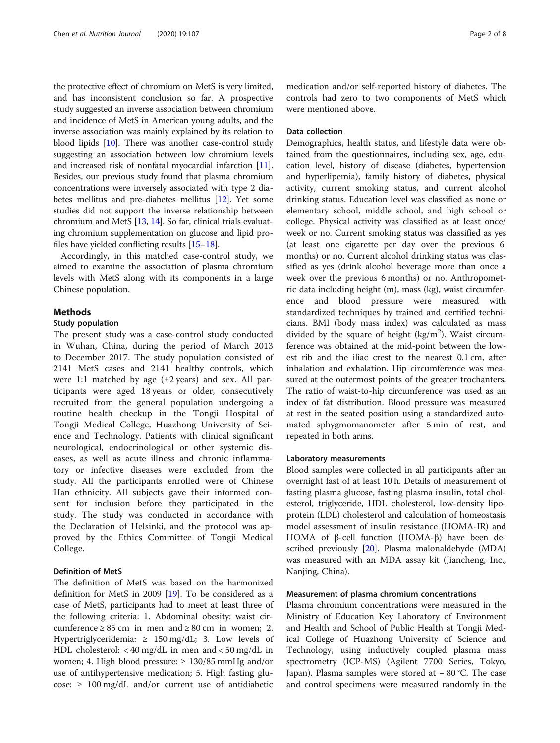the protective effect of chromium on MetS is very limited, and has inconsistent conclusion so far. A prospective study suggested an inverse association between chromium and incidence of MetS in American young adults, and the inverse association was mainly explained by its relation to blood lipids [\[10\]](#page-7-0). There was another case-control study suggesting an association between low chromium levels and increased risk of nonfatal myocardial infarction [[11](#page-7-0)]. Besides, our previous study found that plasma chromium concentrations were inversely associated with type 2 diabetes mellitus and pre-diabetes mellitus [\[12](#page-7-0)]. Yet some studies did not support the inverse relationship between chromium and MetS [\[13,](#page-7-0) [14\]](#page-7-0). So far, clinical trials evaluating chromium supplementation on glucose and lipid profiles have yielded conflicting results [\[15](#page-7-0)–[18](#page-7-0)].

Accordingly, in this matched case-control study, we aimed to examine the association of plasma chromium levels with MetS along with its components in a large Chinese population.

#### Methods

#### Study population

The present study was a case-control study conducted in Wuhan, China, during the period of March 2013 to December 2017. The study population consisted of 2141 MetS cases and 2141 healthy controls, which were 1:1 matched by age  $(\pm 2 \text{ years})$  and sex. All participants were aged 18 years or older, consecutively recruited from the general population undergoing a routine health checkup in the Tongji Hospital of Tongji Medical College, Huazhong University of Science and Technology. Patients with clinical significant neurological, endocrinological or other systemic diseases, as well as acute illness and chronic inflammatory or infective diseases were excluded from the study. All the participants enrolled were of Chinese Han ethnicity. All subjects gave their informed consent for inclusion before they participated in the study. The study was conducted in accordance with the Declaration of Helsinki, and the protocol was approved by the Ethics Committee of Tongji Medical College.

#### Definition of MetS

The definition of MetS was based on the harmonized definition for MetS in 2009 [[19\]](#page-7-0). To be considered as a case of MetS, participants had to meet at least three of the following criteria: 1. Abdominal obesity: waist circumference  $\geq 85$  cm in men and  $\geq 80$  cm in women; 2. Hypertriglyceridemia: ≥ 150 mg/dL; 3. Low levels of HDL cholesterol: < 40 mg/dL in men and < 50 mg/dL in women; 4. High blood pressure: ≥ 130/85 mmHg and/or use of antihypertensive medication; 5. High fasting glucose:  $\geq 100 \text{ mg/dL}$  and/or current use of antidiabetic

medication and/or self-reported history of diabetes. The controls had zero to two components of MetS which were mentioned above.

#### Data collection

Demographics, health status, and lifestyle data were obtained from the questionnaires, including sex, age, education level, history of disease (diabetes, hypertension and hyperlipemia), family history of diabetes, physical activity, current smoking status, and current alcohol drinking status. Education level was classified as none or elementary school, middle school, and high school or college. Physical activity was classified as at least once/ week or no. Current smoking status was classified as yes (at least one cigarette per day over the previous 6 months) or no. Current alcohol drinking status was classified as yes (drink alcohol beverage more than once a week over the previous 6 months) or no. Anthropometric data including height (m), mass (kg), waist circumference and blood pressure were measured with standardized techniques by trained and certified technicians. BMI (body mass index) was calculated as mass divided by the square of height  $(kg/m<sup>2</sup>)$ . Waist circumference was obtained at the mid-point between the lowest rib and the iliac crest to the nearest 0.1 cm, after inhalation and exhalation. Hip circumference was measured at the outermost points of the greater trochanters. The ratio of waist-to-hip circumference was used as an index of fat distribution. Blood pressure was measured at rest in the seated position using a standardized automated sphygmomanometer after 5 min of rest, and repeated in both arms.

#### Laboratory measurements

Blood samples were collected in all participants after an overnight fast of at least 10 h. Details of measurement of fasting plasma glucose, fasting plasma insulin, total cholesterol, triglyceride, HDL cholesterol, low-density lipoprotein (LDL) cholesterol and calculation of homeostasis model assessment of insulin resistance (HOMA-IR) and HOMA of β-cell function (HOMA-β) have been described previously [[20](#page-7-0)]. Plasma malonaldehyde (MDA) was measured with an MDA assay kit (Jiancheng, Inc., Nanjing, China).

#### Measurement of plasma chromium concentrations

Plasma chromium concentrations were measured in the Ministry of Education Key Laboratory of Environment and Health and School of Public Health at Tongji Medical College of Huazhong University of Science and Technology, using inductively coupled plasma mass spectrometry (ICP-MS) (Agilent 7700 Series, Tokyo, Japan). Plasma samples were stored at − 80 °C. The case and control specimens were measured randomly in the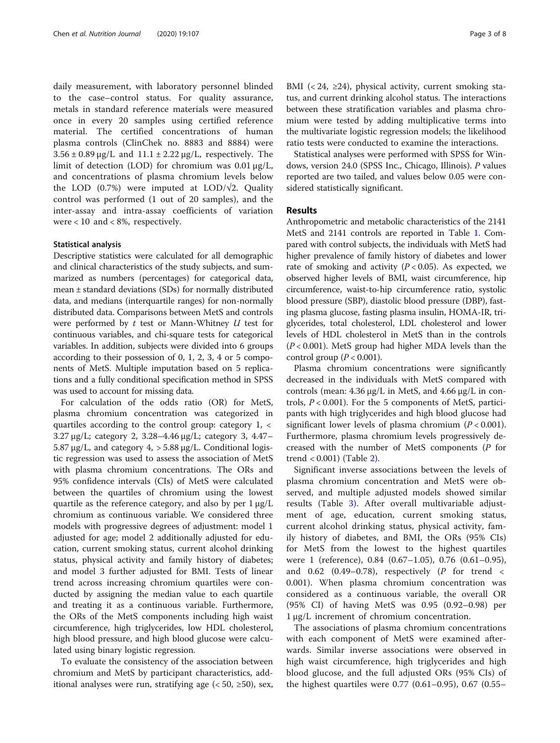daily measurement, with laboratory personnel blinded to the case–control status. For quality assurance, metals in standard reference materials were measured once in every 20 samples using certified reference material. The certified concentrations of human plasma controls (ClinChek no. 8883 and 8884) were  $3.56 \pm 0.89 \,\mu$ g/L and  $11.1 \pm 2.22 \,\mu$ g/L, respectively. The limit of detection (LOD) for chromium was 0.01 μg/L, and concentrations of plasma chromium levels below the LOD (0.7%) were imputed at LOD/ $\sqrt{2}$ . Quality control was performed (1 out of 20 samples), and the inter-assay and intra-assay coefficients of variation were  $< 10$  and  $< 8\%$ , respectively.

#### Statistical analysis

Descriptive statistics were calculated for all demographic and clinical characteristics of the study subjects, and summarized as numbers (percentages) for categorical data, mean ± standard deviations (SDs) for normally distributed data, and medians (interquartile ranges) for non-normally distributed data. Comparisons between MetS and controls were performed by  $t$  test or Mann-Whitney  $U$  test for continuous variables, and chi-square tests for categorical variables. In addition, subjects were divided into 6 groups according to their possession of 0, 1, 2, 3, 4 or 5 components of MetS. Multiple imputation based on 5 replications and a fully conditional specification method in SPSS was used to account for missing data.

For calculation of the odds ratio (OR) for MetS, plasma chromium concentration was categorized in quartiles according to the control group: category 1, < 3.27 μg/L; category 2, 3.28–4.46 μg/L; category 3, 4.47– 5.87 μg/L, and category 4, > 5.88 μg/L. Conditional logistic regression was used to assess the association of MetS with plasma chromium concentrations. The ORs and 95% confidence intervals (CIs) of MetS were calculated between the quartiles of chromium using the lowest quartile as the reference category, and also by per 1 μg/L chromium as continuous variable. We considered three models with progressive degrees of adjustment: model 1 adjusted for age; model 2 additionally adjusted for education, current smoking status, current alcohol drinking status, physical activity and family history of diabetes; and model 3 further adjusted for BMI. Tests of linear trend across increasing chromium quartiles were conducted by assigning the median value to each quartile and treating it as a continuous variable. Furthermore, the ORs of the MetS components including high waist circumference, high triglycerides, low HDL cholesterol, high blood pressure, and high blood glucose were calculated using binary logistic regression.

To evaluate the consistency of the association between chromium and MetS by participant characteristics, additional analyses were run, stratifying age  $( $50$ ,  $\geq 50$ ), sex,$ 

BMI ( $\langle 24, \geq 24$ ), physical activity, current smoking status, and current drinking alcohol status. The interactions between these stratification variables and plasma chromium were tested by adding multiplicative terms into the multivariate logistic regression models; the likelihood ratio tests were conducted to examine the interactions.

Statistical analyses were performed with SPSS for Windows, version 24.0 (SPSS Inc., Chicago, Illinois). P values reported are two tailed, and values below 0.05 were considered statistically significant.

#### Results

Anthropometric and metabolic characteristics of the 2141 MetS and 2141 controls are reported in Table [1.](#page-3-0) Compared with control subjects, the individuals with MetS had higher prevalence of family history of diabetes and lower rate of smoking and activity  $(P < 0.05)$ . As expected, we observed higher levels of BMI, waist circumference, hip circumference, waist-to-hip circumference ratio, systolic blood pressure (SBP), diastolic blood pressure (DBP), fasting plasma glucose, fasting plasma insulin, HOMA-IR, triglycerides, total cholesterol, LDL cholesterol and lower levels of HDL cholesterol in MetS than in the controls  $(P<0.001)$ . MetS group had higher MDA levels than the control group  $(P < 0.001)$ .

Plasma chromium concentrations were significantly decreased in the individuals with MetS compared with controls (mean: 4.36 μg/L in MetS, and 4.66 μg/L in controls,  $P < 0.001$ ). For the 5 components of MetS, participants with high triglycerides and high blood glucose had significant lower levels of plasma chromium ( $P < 0.001$ ). Furthermore, plasma chromium levels progressively decreased with the number of MetS components (P for trend < 0.001) (Table [2\)](#page-4-0).

Significant inverse associations between the levels of plasma chromium concentration and MetS were observed, and multiple adjusted models showed similar results (Table [3](#page-4-0)). After overall multivariable adjustment of age, education, current smoking status, current alcohol drinking status, physical activity, family history of diabetes, and BMI, the ORs (95% CIs) for MetS from the lowest to the highest quartiles were 1 (reference), 0.84 (0.67–1.05), 0.76 (0.61–0.95), and 0.62 (0.49–0.78), respectively (P for trend  $\lt$ 0.001). When plasma chromium concentration was considered as a continuous variable, the overall OR (95% CI) of having MetS was 0.95 (0.92–0.98) per 1 μg/L increment of chromium concentration.

The associations of plasma chromium concentrations with each component of MetS were examined afterwards. Similar inverse associations were observed in high waist circumference, high triglycerides and high blood glucose, and the full adjusted ORs (95% CIs) of the highest quartiles were 0.77 (0.61–0.95), 0.67 (0.55–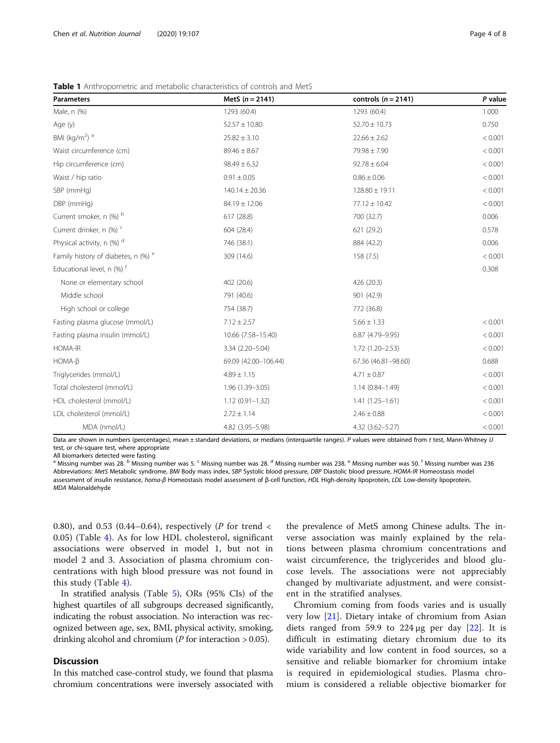| <b>Parameters</b>                              | MetS $(n = 2141)$    | controls ( $n = 2141$ ) | P value |
|------------------------------------------------|----------------------|-------------------------|---------|
| Male, n (%)                                    | 1293 (60.4)          | 1293 (60.4)             | 1.000   |
| Age (y)                                        | $52.57 \pm 10.80$    | $52.70 \pm 10.73$       | 0.750   |
| BMI (kg/m <sup>2</sup> ) $a$                   | $25.82 \pm 3.10$     | $22.66 \pm 2.62$        | < 0.001 |
| Waist circumference (cm)                       | $89.46 \pm 8.67$     | 79.98 ± 7.90            | < 0.001 |
| Hip circumference (cm)                         | $98.49 \pm 6.32$     | $92.78 \pm 6.04$        | < 0.001 |
| Waist / hip ratio                              | $0.91 \pm 0.05$      | $0.86 \pm 0.06$         | < 0.001 |
| SBP (mmHg)                                     | $140.14 \pm 20.36$   | $128.80 \pm 19.11$      | < 0.001 |
| DBP (mmHg)                                     | $84.19 \pm 12.06$    | $77.12 \pm 10.42$       | < 0.001 |
| Current smoker, n (%) b                        | 617 (28.8)           | 700 (32.7)              | 0.006   |
| Current drinker, n (%) <sup>c</sup>            | 604 (28.4)           | 621 (29.2)              | 0.578   |
| Physical activity, n (%) d                     | 746 (38.1)           | 884 (42.2)              | 0.006   |
| Family history of diabetes, n (%) <sup>e</sup> | 309 (14.6)           | 158(7.5)                | < 0.001 |
| Educational level, n (%) <sup>f</sup>          |                      |                         | 0.308   |
| None or elementary school                      | 402 (20.6)           | 426 (20.3)              |         |
| Middle school                                  | 791 (40.6)           | 901 (42.9)              |         |
| High school or college                         | 754 (38.7)           | 772 (36.8)              |         |
| Fasting plasma glucose (mmol/L)                | $7.12 \pm 2.57$      | $5.66 \pm 1.33$         | < 0.001 |
| Fasting plasma insulin (mmol/L)                | 10.66 (7.58-15.40)   | 6.87 (4.79-9.95)        | < 0.001 |
| <b>HOMA-IR</b>                                 | 3.34 (2.20-5.04)     | $1.72(1.20 - 2.53)$     | < 0.001 |
| $HOMA-B$                                       | 69.09 (42.00-106.44) | 67.36 (46.81-98.60)     | 0.688   |
| Triglycerides (mmol/L)                         | $4.89 \pm 1.15$      | $4.71 \pm 0.87$         | < 0.001 |
| Total cholesterol (mmol/L)                     | 1.96 (1.39-3.05)     | $1.14(0.84 - 1.49)$     | < 0.001 |
| HDL cholesterol (mmol/L)                       | $1.12(0.91 - 1.32)$  | $1.41(1.25 - 1.61)$     | < 0.001 |
| LDL cholesterol (mmol/L)                       | $2.72 \pm 1.14$      | $2.46 \pm 0.88$         | < 0.001 |
| MDA (nmol/L)                                   | 4.82 (3.95-5.98)     | $4.32(3.62 - 5.27)$     | < 0.001 |

<span id="page-3-0"></span>Table 1 Anthropometric and metabolic characteristics of controls and MetS

Data are shown in numbers (percentages), mean ± standard deviations, or medians (interquartile ranges). P values were obtained from t test, Mann-Whitney U test, or chi-square test, where appropriate

All biomarkers detected were fasting

<sup>a</sup> Missing number was 28. <sup>b</sup> Missing number was 5. <sup>c</sup> Missing number was 28. <sup>d</sup> Missing number was 238. <sup>e</sup> Missing number was 50. <sup>f</sup> Missing number was 236 Abbreviations: MetS Metabolic syndrome, BMI Body mass index, SBP Systolic blood pressure, DBP Diastolic blood pressure, HOMA-IR Homeostasis model assessment of insulin resistance, homa-β Homeostasis model assessment of β-cell function, HDL High-density lipoprotein, LDL Low-density lipoprotein, MDA Malonaldehyde

0.80), and 0.53 (0.44–0.64), respectively (P for trend < 0.05) (Table [4\)](#page-5-0). As for low HDL cholesterol, significant associations were observed in model 1, but not in model 2 and 3. Association of plasma chromium concentrations with high blood pressure was not found in this study (Table [4\)](#page-5-0).

In stratified analysis (Table [5](#page-6-0)), ORs (95% CIs) of the highest quartiles of all subgroups decreased significantly, indicating the robust association. No interaction was recognized between age, sex, BMI, physical activity, smoking, drinking alcohol and chromium ( $P$  for interaction  $> 0.05$ ).

#### **Discussion**

In this matched case-control study, we found that plasma chromium concentrations were inversely associated with the prevalence of MetS among Chinese adults. The inverse association was mainly explained by the relations between plasma chromium concentrations and waist circumference, the triglycerides and blood glucose levels. The associations were not appreciably changed by multivariate adjustment, and were consistent in the stratified analyses.

Chromium coming from foods varies and is usually very low [[21](#page-7-0)]. Dietary intake of chromium from Asian diets ranged from 59.9 to  $224 \mu g$  per day  $[22]$  $[22]$ . It is difficult in estimating dietary chromium due to its wide variability and low content in food sources, so a sensitive and reliable biomarker for chromium intake is required in epidemiological studies. Plasma chromium is considered a reliable objective biomarker for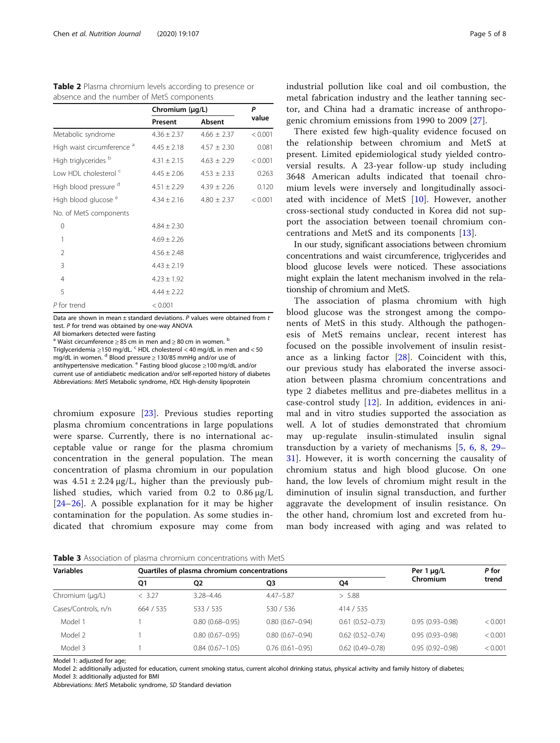|                                       | Chromium (µg/L) |                 | P<br>value |  |
|---------------------------------------|-----------------|-----------------|------------|--|
|                                       | Present         | Absent          |            |  |
| Metabolic syndrome                    | $4.36 \pm 2.37$ | $4.66 \pm 2.37$ | < 0.001    |  |
| High waist circumference <sup>a</sup> | $4.45 \pm 2.18$ | $4.57 \pm 2.30$ | 0.081      |  |
| High triglycerides <sup>b</sup>       | $4.31 \pm 2.15$ | $4.63 \pm 2.29$ | < 0.001    |  |
| Low HDL cholesterol <sup>c</sup>      | $4.45 \pm 2.06$ | $4.53 \pm 2.33$ | 0.263      |  |
| High blood pressure <sup>d</sup>      | $4.51 \pm 2.29$ | $4.39 \pm 2.26$ | 0.120      |  |
| High blood glucose <sup>e</sup>       | $4.34 \pm 2.16$ | $4.80 \pm 2.37$ | < 0.001    |  |
| No. of MetS components                |                 |                 |            |  |
| 0                                     | $4.84 \pm 2.30$ |                 |            |  |
| 1                                     | $4.69 \pm 2.26$ |                 |            |  |
| 2                                     | $4.56 \pm 2.48$ |                 |            |  |
| 3                                     | $4.43 \pm 2.19$ |                 |            |  |
| $\overline{4}$                        | $4.23 \pm 1.92$ |                 |            |  |
| 5                                     | $4.44 \pm 2.22$ |                 |            |  |
| P for trend                           | < 0.001         |                 |            |  |

<span id="page-4-0"></span>Table 2 Plasma chromium levels according to presence or absence and the number of MetS components

Data are shown in mean  $\pm$  standard deviations. P values were obtained from t test. P for trend was obtained by one-way ANOVA All biomarkers detected were fasting

<sup>a</sup> Waist circumference > 85 cm in men and > 80 cm in women.  $b$ 

Triglyceridemia ≥150 mg/dL. <sup>c</sup> HDL cholesterol < 40 mg/dL in men and < 50 mg/dL in women.  $d$  Blood pressure  $\geq$  130/85 mmHg and/or use of antihypertensive medication.  $e^e$  Fasting blood glucose  $\geq$ 100 mg/dL and/or current use of antidiabetic medication and/or self-reported history of diabetes Abbreviations: MetS Metabolic syndrome, HDL High-density lipoprotein

chromium exposure [\[23](#page-7-0)]. Previous studies reporting plasma chromium concentrations in large populations were sparse. Currently, there is no international acceptable value or range for the plasma chromium concentration in the general population. The mean concentration of plasma chromium in our population was  $4.51 \pm 2.24 \,\mu$ g/L, higher than the previously published studies, which varied from 0.2 to 0.86 μg/L [[24](#page-7-0)–[26\]](#page-7-0). A possible explanation for it may be higher contamination for the population. As some studies indicated that chromium exposure may come from industrial pollution like coal and oil combustion, the metal fabrication industry and the leather tanning sector, and China had a dramatic increase of anthropogenic chromium emissions from 1990 to 2009 [[27](#page-7-0)].

There existed few high-quality evidence focused on the relationship between chromium and MetS at present. Limited epidemiological study yielded controversial results. A 23-year follow-up study including 3648 American adults indicated that toenail chromium levels were inversely and longitudinally associated with incidence of MetS [[10\]](#page-7-0). However, another cross-sectional study conducted in Korea did not support the association between toenail chromium concentrations and MetS and its components [[13\]](#page-7-0).

In our study, significant associations between chromium concentrations and waist circumference, triglycerides and blood glucose levels were noticed. These associations might explain the latent mechanism involved in the relationship of chromium and MetS.

The association of plasma chromium with high blood glucose was the strongest among the components of MetS in this study. Although the pathogenesis of MetS remains unclear, recent interest has focused on the possible involvement of insulin resistance as a linking factor [\[28](#page-7-0)]. Coincident with this, our previous study has elaborated the inverse association between plasma chromium concentrations and type 2 diabetes mellitus and pre-diabetes mellitus in a case-control study [[12\]](#page-7-0). In addition, evidences in animal and in vitro studies supported the association as well. A lot of studies demonstrated that chromium may up-regulate insulin-stimulated insulin signal transduction by a variety of mechanisms [[5](#page-7-0), [6,](#page-7-0) [8](#page-7-0), [29](#page-7-0)– [31\]](#page-7-0). However, it is worth concerning the causality of chromium status and high blood glucose. On one hand, the low levels of chromium might result in the diminution of insulin signal transduction, and further aggravate the development of insulin resistance. On the other hand, chromium lost and excreted from human body increased with aging and was related to

Table 3 Association of plasma chromium concentrations with MetS

| <b>Variables</b>    |           | Quartiles of plasma chromium concentrations | Per $1 \mu g/L$     | P for                  |                     |         |
|---------------------|-----------|---------------------------------------------|---------------------|------------------------|---------------------|---------|
|                     | Q1        | Q2                                          | Q3                  | Q4                     | Chromium            | trend   |
| Chromium (µg/L)     | < 3.27    | 3.28-4.46                                   | $4.47 - 5.87$       | > 5.88                 |                     |         |
| Cases/Controls, n/n | 664 / 535 | 533 / 535                                   | 530 / 536           | 414 / 535              |                     |         |
| Model 1             |           | $0.80(0.68 - 0.95)$                         | $0.80(0.67 - 0.94)$ | $0.61(0.52 - 0.73)$    | $0.95(0.93 - 0.98)$ | < 0.001 |
| Model 2             |           | $0.80(0.67 - 0.95)$                         | $0.80(0.67 - 0.94)$ | $0.62(0.52 - 0.74)$    | $0.95(0.93 - 0.98)$ | < 0.001 |
| Model 3             |           | $0.84(0.67 - 1.05)$                         | $0.76(0.61 - 0.95)$ | $0.62$ $(0.49 - 0.78)$ | $0.95(0.92 - 0.98)$ | < 0.001 |

Model 1: adjusted for age;

Model 2: additionally adjusted for education, current smoking status, current alcohol drinking status, physical activity and family history of diabetes; Model 3: additionally adjusted for BMI

Abbreviations: MetS Metabolic syndrome, SD Standard deviation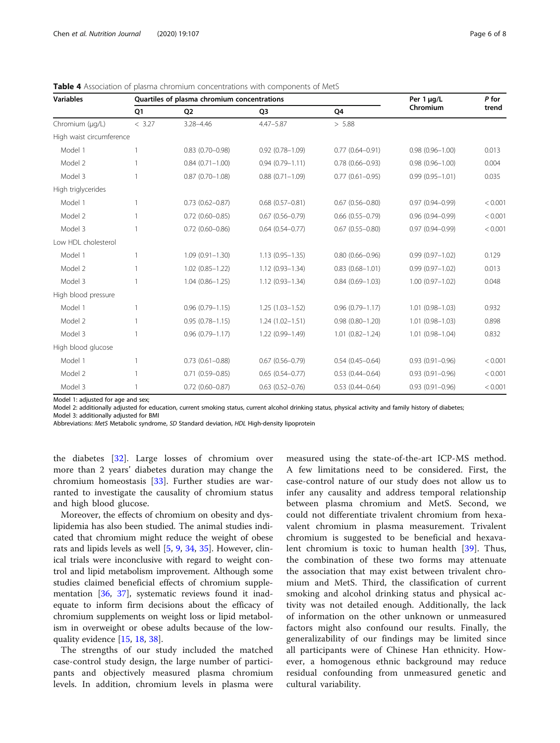| <b>Variables</b>         |           | Quartiles of plasma chromium concentrations | Per 1 µg/L                                 | P for                  |                     |         |
|--------------------------|-----------|---------------------------------------------|--------------------------------------------|------------------------|---------------------|---------|
|                          | <b>O1</b> | Q <sub>2</sub>                              | Q <sub>3</sub>                             | O <sub>4</sub>         | Chromium            | trend   |
| Chromium (µq/L)          | < 3.27    | 3.28-4.46                                   | $4.47 - 5.87$                              | > 5.88                 |                     |         |
| High waist circumference |           |                                             |                                            |                        |                     |         |
| Model 1                  |           | $0.83$ $(0.70 - 0.98)$                      | $0.92(0.78 - 1.09)$                        | $0.77(0.64 - 0.91)$    | $0.98(0.96 - 1.00)$ | 0.013   |
| Model 2                  |           | $0.84(0.71 - 1.00)$                         | $0.94(0.79 - 1.11)$                        | $0.78(0.66 - 0.93)$    | $0.98(0.96 - 1.00)$ | 0.004   |
| Model 3                  |           | $0.87(0.70 - 1.08)$                         | $0.88(0.71 - 1.09)$                        | $0.77(0.61 - 0.95)$    | $0.99(0.95 - 1.01)$ | 0.035   |
| High triglycerides       |           |                                             |                                            |                        |                     |         |
| Model 1                  |           | $0.73(0.62 - 0.87)$                         | $0.68(0.57 - 0.81)$                        | $0.67(0.56 - 0.80)$    | $0.97(0.94 - 0.99)$ | < 0.001 |
| Model 2                  |           | $0.72(0.60 - 0.85)$                         | $0.67(0.56 - 0.79)$                        | $0.66$ $(0.55 - 0.79)$ | $0.96(0.94 - 0.99)$ | < 0.001 |
| Model 3                  |           | $0.72$ $(0.60 - 0.86)$                      | $0.64$ $(0.54 - 0.77)$                     | $0.67(0.55 - 0.80)$    | $0.97(0.94 - 0.99)$ | < 0.001 |
| Low HDL cholesterol      |           |                                             |                                            |                        |                     |         |
| Model 1                  |           | $1.09(0.91 - 1.30)$                         | $0.80(0.66 - 0.96)$<br>$1.13(0.95 - 1.35)$ |                        | $0.99(0.97 - 1.02)$ | 0.129   |
| Model 2                  |           | $1.02(0.85 - 1.22)$                         | $1.12(0.93 - 1.34)$                        | $0.83(0.68 - 1.01)$    | $0.99(0.97 - 1.02)$ | 0.013   |
| Model 3                  |           | $1.04(0.86 - 1.25)$                         | $1.12(0.93 - 1.34)$                        | $0.84(0.69 - 1.03)$    | $1.00(0.97 - 1.02)$ | 0.048   |
| High blood pressure      |           |                                             |                                            |                        |                     |         |
| Model 1                  |           | $0.96(0.79 - 1.15)$                         | $1.25(1.03 - 1.52)$                        | $0.96(0.79 - 1.17)$    | $1.01(0.98 - 1.03)$ | 0.932   |
| Model 2                  |           | $0.95(0.78 - 1.15)$                         | $1.24(1.02 - 1.51)$                        | $0.98(0.80 - 1.20)$    | $1.01(0.98 - 1.03)$ | 0.898   |
| Model 3                  |           | $0.96(0.79 - 1.17)$                         | 1.22 (0.99-1.49)                           | $1.01(0.82 - 1.24)$    | $1.01(0.98 - 1.04)$ | 0.832   |
| High blood glucose       |           |                                             |                                            |                        |                     |         |
| Model 1                  |           | $0.73(0.61 - 0.88)$                         | $0.67(0.56 - 0.79)$                        | $0.54(0.45 - 0.64)$    | $0.93(0.91 - 0.96)$ | < 0.001 |
| Model 2                  |           | $0.71(0.59 - 0.85)$                         | $0.65(0.54 - 0.77)$                        | $0.53(0.44 - 0.64)$    | $0.93(0.91 - 0.96)$ | < 0.001 |
| Model 3                  |           | $0.72$ (0.60-0.87)                          | $0.63$ $(0.52 - 0.76)$                     | $0.53(0.44 - 0.64)$    | $0.93(0.91 - 0.96)$ | < 0.001 |

<span id="page-5-0"></span>Table 4 Association of plasma chromium concentrations with components of MetS

Model 1: adjusted for age and sex;

Model 2: additionally adjusted for education, current smoking status, current alcohol drinking status, physical activity and family history of diabetes;

Model 3: additionally adjusted for BMI

Abbreviations: MetS Metabolic syndrome, SD Standard deviation, HDL High-density lipoprotein

the diabetes [[32\]](#page-7-0). Large losses of chromium over more than 2 years' diabetes duration may change the chromium homeostasis [[33\]](#page-7-0). Further studies are warranted to investigate the causality of chromium status and high blood glucose.

Moreover, the effects of chromium on obesity and dyslipidemia has also been studied. The animal studies indicated that chromium might reduce the weight of obese rats and lipids levels as well [[5,](#page-7-0) [9,](#page-7-0) [34,](#page-7-0) [35\]](#page-7-0). However, clinical trials were inconclusive with regard to weight control and lipid metabolism improvement. Although some studies claimed beneficial effects of chromium supplementation [\[36](#page-7-0), [37](#page-7-0)], systematic reviews found it inadequate to inform firm decisions about the efficacy of chromium supplements on weight loss or lipid metabolism in overweight or obese adults because of the lowquality evidence [[15](#page-7-0), [18](#page-7-0), [38](#page-7-0)].

The strengths of our study included the matched case-control study design, the large number of participants and objectively measured plasma chromium levels. In addition, chromium levels in plasma were

measured using the state-of-the-art ICP-MS method. A few limitations need to be considered. First, the case-control nature of our study does not allow us to infer any causality and address temporal relationship between plasma chromium and MetS. Second, we could not differentiate trivalent chromium from hexavalent chromium in plasma measurement. Trivalent chromium is suggested to be beneficial and hexavalent chromium is toxic to human health [\[39](#page-7-0)]. Thus, the combination of these two forms may attenuate the association that may exist between trivalent chromium and MetS. Third, the classification of current smoking and alcohol drinking status and physical activity was not detailed enough. Additionally, the lack of information on the other unknown or unmeasured factors might also confound our results. Finally, the generalizability of our findings may be limited since all participants were of Chinese Han ethnicity. However, a homogenous ethnic background may reduce residual confounding from unmeasured genetic and cultural variability.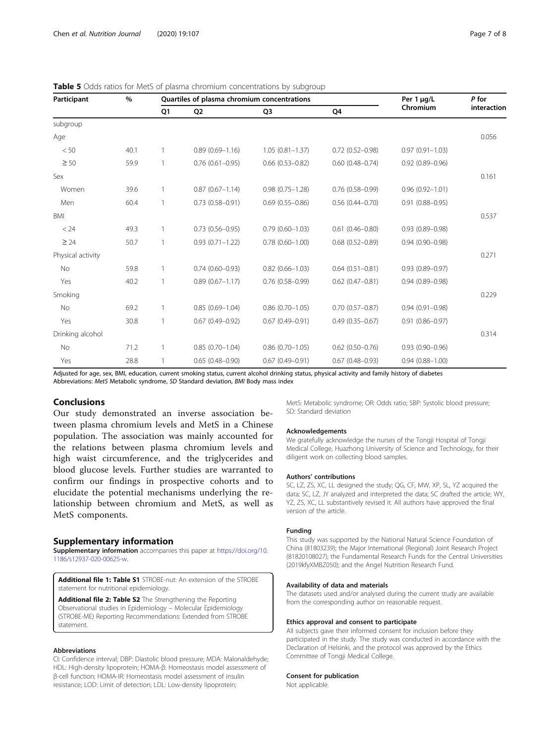| Participant       | %    | Quartiles of plasma chromium concentrations |                     |                        |                        | Per 1 µg/L          | P for       |
|-------------------|------|---------------------------------------------|---------------------|------------------------|------------------------|---------------------|-------------|
|                   |      | Q1                                          | Q <sub>2</sub>      | Q <sub>3</sub>         | Q4                     | Chromium            | interaction |
| subgroup          |      |                                             |                     |                        |                        |                     |             |
| Age               |      |                                             |                     |                        |                        |                     | 0.056       |
| < 50              | 40.1 | 1                                           | $0.89(0.69 - 1.16)$ | $1.05(0.81 - 1.37)$    | $0.72(0.52 - 0.98)$    | $0.97(0.91 - 1.03)$ |             |
| $\geq 50$         | 59.9 | 1                                           | $0.76(0.61 - 0.95)$ | $0.66$ $(0.53 - 0.82)$ | $0.60(0.48 - 0.74)$    | $0.92(0.89 - 0.96)$ |             |
| Sex               |      |                                             |                     |                        |                        |                     | 0.161       |
| Women             | 39.6 | 1                                           | $0.87(0.67 - 1.14)$ | $0.98(0.75 - 1.28)$    | $0.76(0.58 - 0.99)$    | $0.96(0.92 - 1.01)$ |             |
| Men               | 60.4 | 1                                           | $0.73(0.58 - 0.91)$ | $0.69(0.55 - 0.86)$    | $0.56$ $(0.44 - 0.70)$ | $0.91(0.88 - 0.95)$ |             |
| BMI               |      |                                             |                     |                        |                        |                     | 0.537       |
| < 24              | 49.3 | 1                                           | $0.73(0.56 - 0.95)$ | $0.79(0.60 - 1.03)$    | $0.61(0.46 - 0.80)$    | $0.93(0.89 - 0.98)$ |             |
| $\geq 24$         | 50.7 | 1                                           | $0.93(0.71 - 1.22)$ | $0.78$ $(0.60 - 1.00)$ | $0.68(0.52 - 0.89)$    | $0.94(0.90 - 0.98)$ |             |
| Physical activity |      |                                             |                     |                        |                        |                     | 0.271       |
| No                | 59.8 | 1                                           | $0.74(0.60 - 0.93)$ | $0.82(0.66 - 1.03)$    | $0.64(0.51 - 0.81)$    | $0.93(0.89 - 0.97)$ |             |
| Yes               | 40.2 | 1                                           | $0.89(0.67 - 1.17)$ | $0.76(0.58 - 0.99)$    | $0.62$ $(0.47 - 0.81)$ | $0.94(0.89 - 0.98)$ |             |
| Smoking           |      |                                             |                     |                        |                        |                     | 0.229       |
| No                | 69.2 | $\mathbf{1}$                                | $0.85(0.69 - 1.04)$ | $0.86(0.70 - 1.05)$    | $0.70(0.57 - 0.87)$    | $0.94(0.91 - 0.98)$ |             |
| Yes               | 30.8 | $\mathbf{1}$                                | $0.67(0.49 - 0.92)$ | $0.67(0.49 - 0.91)$    | $0.49(0.35 - 0.67)$    | $0.91(0.86 - 0.97)$ |             |
| Drinking alcohol  |      |                                             |                     |                        |                        |                     | 0.314       |
| No                | 71.2 | 1                                           | $0.85(0.70 - 1.04)$ | $0.86$ $(0.70 - 1.05)$ | $0.62$ $(0.50 - 0.76)$ | $0.93(0.90 - 0.96)$ |             |
| Yes               | 28.8 | 1                                           | $0.65(0.48 - 0.90)$ | $0.67(0.49 - 0.91)$    | $0.67(0.48 - 0.93)$    | $0.94(0.88 - 1.00)$ |             |

<span id="page-6-0"></span>

|  |  |  | Table 5 Odds ratios for MetS of plasma chromium concentrations by subgroup |  |
|--|--|--|----------------------------------------------------------------------------|--|
|  |  |  |                                                                            |  |

Adjusted for age, sex, BMI, education, current smoking status, current alcohol drinking status, physical activity and family history of diabetes Abbreviations: MetS Metabolic syndrome, SD Standard deviation, BMI Body mass index

#### Conclusions

Our study demonstrated an inverse association between plasma chromium levels and MetS in a Chinese population. The association was mainly accounted for the relations between plasma chromium levels and high waist circumference, and the triglycerides and blood glucose levels. Further studies are warranted to confirm our findings in prospective cohorts and to elucidate the potential mechanisms underlying the relationship between chromium and MetS, as well as MetS components.

#### Supplementary information

Supplementary information accompanies this paper at [https://doi.org/10.](https://doi.org/10.1186/s12937-020-00625-w) [1186/s12937-020-00625-w](https://doi.org/10.1186/s12937-020-00625-w).

Additional file 1: Table S1 STROBE-nut: An extension of the STROBE statement for nutritional epidemiology.

Additional file 2: Table S2 The Strengthening the Reporting Observational studies in Epidemiology – Molecular Epidemiology (STROBE-ME) Reporting Recommendations: Extended from STROBE statement.

#### Abbreviations

CI: Confidence interval; DBP: Diastolic blood pressure; MDA: Malonaldehyde; HDL: High-density lipoprotein; HOMA-β: Homeostasis model assessment of β-cell function; HOMA-IR: Homeostasis model assessment of insulin resistance; LOD: Limit of detection; LDL: Low-density lipoprotein;

MetS: Metabolic syndrome; OR: Odds ratio; SBP: Systolic blood pressure; SD: Standard deviation

#### Acknowledgements

We gratefully acknowledge the nurses of the Tongji Hospital of Tongji Medical College, Huazhong University of Science and Technology, for their diligent work on collecting blood samples.

#### Authors' contributions

SC, LZ, ZS, XC, LL designed the study; QG, CF, MW, XP, SL, YZ acquired the data; SC, LZ, JY analyzed and interpreted the data; SC drafted the article; WY, YZ, ZS, XC, LL substantively revised it. All authors have approved the final version of the article.

#### Funding

This study was supported by the National Natural Science Foundation of China (81803239); the Major International (Regional) Joint Research Project (81820108027); the Fundamental Research Funds for the Central Universities (2019kfyXMBZ050); and the Angel Nutrition Research Fund.

#### Availability of data and materials

The datasets used and/or analysed during the current study are available from the corresponding author on reasonable request.

#### Ethics approval and consent to participate

All subjects gave their informed consent for inclusion before they participated in the study. The study was conducted in accordance with the Declaration of Helsinki, and the protocol was approved by the Ethics Committee of Tongji Medical College.

#### Consent for publication

Not applicable.